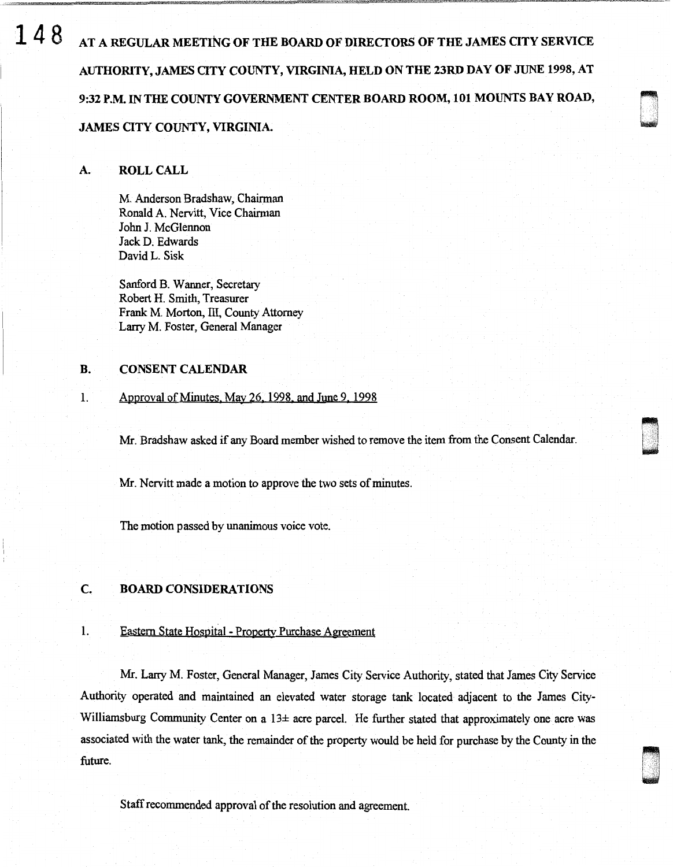**148** AT A REGULAR MEETING OF THE BOARD OF DIRECTORS OF THE JAMES CITY SERVICE AUTHORITY, JAMES OTY COUNTY, VIRGINIA, HELD ON THE 23RD DAY OF JUNE 1998, AT 9:32 P.M. IN THE COUNTY GOVERNMENT CENTER BOARD ROOM, 101 MOUNTS BAY ROAD,

# JAMES QTY COUNTY, VIRGINIA.

### A. ROLL CALL

M. Anderson Bradshaw, Chairman Ronald A. Nervitt, Vice Chairman John J. McGlennon Jack D. Edwards David L. Sisk

Sanford B. Wanner, Secretary Robert H. Smith, Treasurer Frank M. Morton, III, County Attorney Larry M. Foster, General Manager

# B. CONSENT CALENDAR

#### 1. Approval of Minutes. May 26, 1998 and June 9. 1998

Mr. Bradshaw asked if any Board member wished to remove the item from the Consent Calendar.

D I '

Mr. Nervitt made a motion to approve the two sets of minutes.

The motion passed by unanimous voice vote.

# C. BOARD CONSIDERATIONS

#### 1. Eastern State Hospital - Property Purchase Agreement

Mr. Larry M. Foster, General Manager, James City Service Authority, stated that James City Service Authority operated and maintained an elevated water storage tank located adjacent to the James City-Williamsburg Community Center on a  $13\pm$  acre parcel. He further stated that approximately one acre was associated with the water tank, the remainder of the property would be held for purchase by the County in the future.

Staff recommended approval of the resolution and agreement.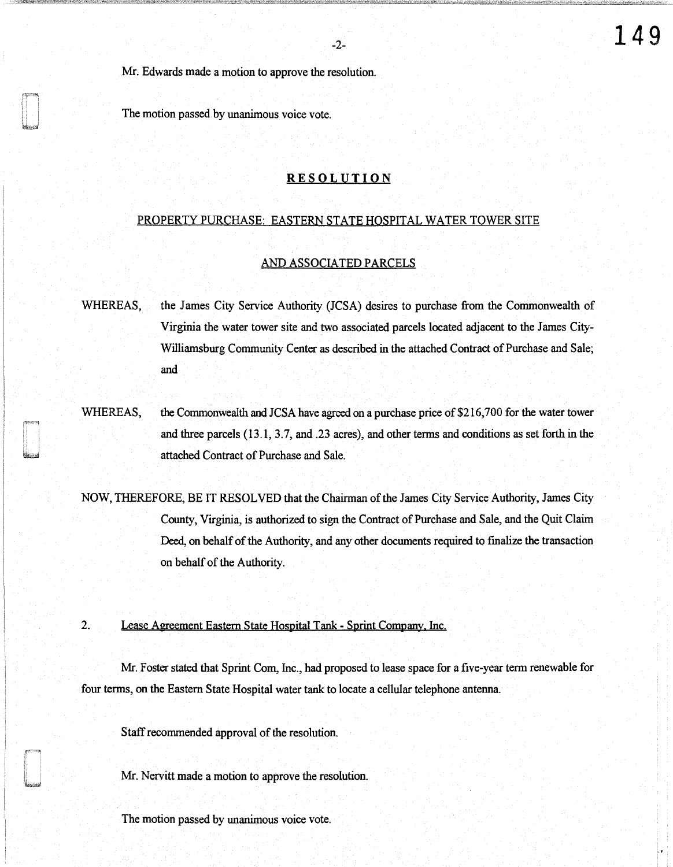Mr. Edwards made a motion to approve the resolution.

The motion passed by unanimous voice vote.

# **RESOLUTION**

-2-

#### PROPERTY PURCHASE: EASTERN STATE HOSPITAL WATER TOWER SITE

#### AND ASSOCIATED PARCELS

WHEREAS, the James City Service Authority (JCSA) desires to purchase from the Commonwealth of Virginia the water tower site and two associated parcels located adjacent to the James City-Williamsburg Community Center as described in the attached Contract of Purchase and Sale; and

WHEREAS, the Commonwealth and JCSA have agreed on a purchase price of \$216,700 for the water tower and three parcels (13.1, 3.7, and .23 acres), and other terms and conditions as set forth in the attached Contract of Purchase and Sale.

NOW, THEREFORE, BE IT RESOLVED that the Chairman of the James City Service Authority, James City County, Virginia, is authorized to sign the Contract of Purchase and Sale, and the Quit Claim Deed, on behalf of the Authority, and any other documents required to finalize the transaction on behalf of the Authority.

2. Lease Agreement Eastern State Hospital Tank - Sprint Company, Inc.

Mr. Foster stated that Sprint Com, Inc., had proposed to lease space for a five-year term renewable for four terms, on the Eastern State Hospital water tank to locate a cellular telephone antenna.

Staff recommended approval of the resolution.

Mr. Nervitt made a motion to approve the resolution.

The motion passed by unanimous voice vote.